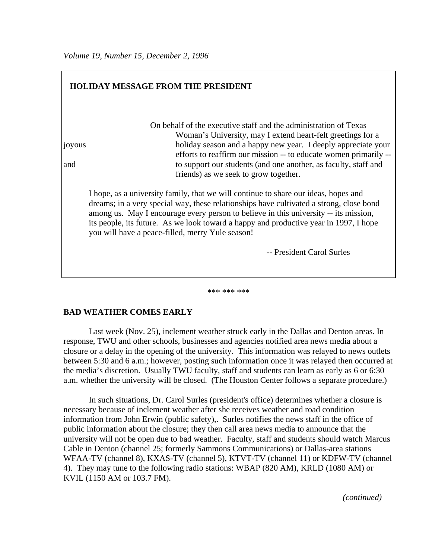| <b>HOLIDAY MESSAGE FROM THE PRESIDENT</b> |                                                                                                                                                                                                                                                                                                                                                                                                                     |  |
|-------------------------------------------|---------------------------------------------------------------------------------------------------------------------------------------------------------------------------------------------------------------------------------------------------------------------------------------------------------------------------------------------------------------------------------------------------------------------|--|
| <i>sologyous</i><br>and                   | On behalf of the executive staff and the administration of Texas<br>Woman's University, may I extend heart-felt greetings for a<br>holiday season and a happy new year. I deeply appreciate your<br>efforts to reaffirm our mission -- to educate women primarily --<br>to support our students (and one another, as faculty, staff and<br>friends) as we seek to grow together.                                    |  |
|                                           | I hope, as a university family, that we will continue to share our ideas, hopes and<br>dreams; in a very special way, these relationships have cultivated a strong, close bond<br>among us. May I encourage every person to believe in this university -- its mission,<br>its people, its future. As we look toward a happy and productive year in 1997, I hope<br>you will have a peace-filled, merry Yule season! |  |
|                                           | -- President Carol Surles                                                                                                                                                                                                                                                                                                                                                                                           |  |

# \*\*\* \*\*\* \*\*\*

#### **BAD WEATHER COMES EARLY**

Last week (Nov. 25), inclement weather struck early in the Dallas and Denton areas. In response, TWU and other schools, businesses and agencies notified area news media about a closure or a delay in the opening of the university. This information was relayed to news outlets between 5:30 and 6 a.m.; however, posting such information once it was relayed then occurred at the media's discretion. Usually TWU faculty, staff and students can learn as early as 6 or 6:30 a.m. whether the university will be closed. (The Houston Center follows a separate procedure.)

In such situations, Dr. Carol Surles (president's office) determines whether a closure is necessary because of inclement weather after she receives weather and road condition information from John Erwin (public safety),. Surles notifies the news staff in the office of public information about the closure; they then call area news media to announce that the university will not be open due to bad weather. Faculty, staff and students should watch Marcus Cable in Denton (channel 25; formerly Sammons Communications) or Dallas-area stations WFAA-TV (channel 8), KXAS-TV (channel 5), KTVT-TV (channel 11) or KDFW-TV (channel 4). They may tune to the following radio stations: WBAP (820 AM), KRLD (1080 AM) or KVIL (1150 AM or 103.7 FM).

*(continued)*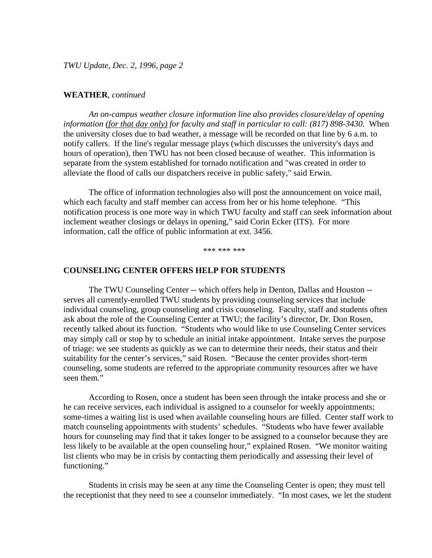*TWU Update, Dec. 2, 1996, page 2*

#### **WEATHER**, *continued*

*An on-campus weather closure information line also provides closure/delay of opening information (for that day only) for faculty and staff in particular to call: (817) 898-3430.* When the university closes due to bad weather, a message will be recorded on that line by 6 a.m. to notify callers. If the line's regular message plays (which discusses the university's days and hours of operation), then TWU has not been closed because of weather. This information is separate from the system established for tornado notification and "was created in order to alleviate the flood of calls our dispatchers receive in public safety," said Erwin.

The office of information technologies also will post the announcement on voice mail, which each faculty and staff member can access from her or his home telephone. "This notification process is one more way in which TWU faculty and staff can seek information about inclement weather closings or delays in opening," said Corin Ecker (ITS). For more information, call the office of public information at ext. 3456.

\*\*\* \*\*\* \*\*\*

#### **COUNSELING CENTER OFFERS HELP FOR STUDENTS**

The TWU Counseling Center -- which offers help in Denton, Dallas and Houston - serves all currently-enrolled TWU students by providing counseling services that include individual counseling, group counseling and crisis counseling. Faculty, staff and students often ask about the role of the Counseling Center at TWU; the facility's director, Dr. Don Rosen, recently talked about its function. "Students who would like to use Counseling Center services may simply call or stop by to schedule an initial intake appointment. Intake serves the purpose of triage: we see students as quickly as we can to determine their needs, their status and their suitability for the center's services," said Rosen. "Because the center provides short-term counseling, some students are referred to the appropriate community resources after we have seen them."

According to Rosen, once a student has been seen through the intake process and she or he can receive services, each individual is assigned to a counselor for weekly appointments; some-times a waiting list is used when available counseling hours are filled. Center staff work to match counseling appointments with students' schedules. "Students who have fewer available hours for counseling may find that it takes longer to be assigned to a counselor because they are less likely to be available at the open counseling hour," explained Rosen. "We monitor waiting list clients who may be in crisis by contacting them periodically and assessing their level of functioning."

Students in crisis may be seen at any time the Counseling Center is open; they must tell the receptionist that they need to see a counselor immediately. "In most cases, we let the student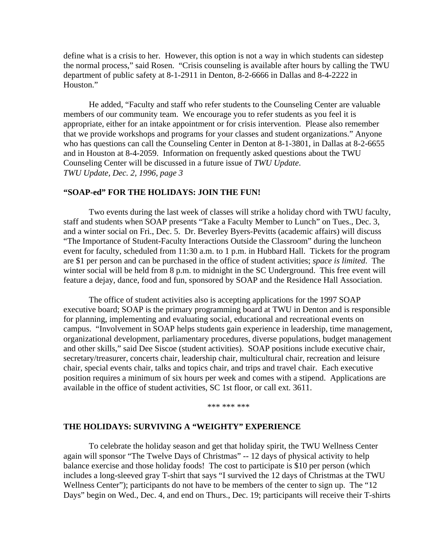define what is a crisis to her. However, this option is not a way in which students can sidestep the normal process," said Rosen. "Crisis counseling is available after hours by calling the TWU department of public safety at 8-1-2911 in Denton, 8-2-6666 in Dallas and 8-4-2222 in Houston."

He added, "Faculty and staff who refer students to the Counseling Center are valuable members of our community team. We encourage you to refer students as you feel it is appropriate, either for an intake appointment or for crisis intervention. Please also remember that we provide workshops and programs for your classes and student organizations." Anyone who has questions can call the Counseling Center in Denton at 8-1-3801, in Dallas at 8-2-6655 and in Houston at 8-4-2059. Information on frequently asked questions about the TWU Counseling Center will be discussed in a future issue of *TWU Update*. *TWU Update, Dec. 2, 1996, page 3*

#### **"SOAP-ed" FOR THE HOLIDAYS: JOIN THE FUN!**

Two events during the last week of classes will strike a holiday chord with TWU faculty, staff and students when SOAP presents "Take a Faculty Member to Lunch" on Tues., Dec. 3, and a winter social on Fri., Dec. 5. Dr. Beverley Byers-Pevitts (academic affairs) will discuss "The Importance of Student-Faculty Interactions Outside the Classroom" during the luncheon event for faculty, scheduled from 11:30 a.m. to 1 p.m. in Hubbard Hall. Tickets for the program are \$1 per person and can be purchased in the office of student activities; *space is limited*. The winter social will be held from 8 p.m. to midnight in the SC Underground. This free event will feature a dejay, dance, food and fun, sponsored by SOAP and the Residence Hall Association.

The office of student activities also is accepting applications for the 1997 SOAP executive board; SOAP is the primary programming board at TWU in Denton and is responsible for planning, implementing and evaluating social, educational and recreational events on campus. "Involvement in SOAP helps students gain experience in leadership, time management, organizational development, parliamentary procedures, diverse populations, budget management and other skills," said Dee Siscoe (student activities). SOAP positions include executive chair, secretary/treasurer, concerts chair, leadership chair, multicultural chair, recreation and leisure chair, special events chair, talks and topics chair, and trips and travel chair. Each executive position requires a minimum of six hours per week and comes with a stipend. Applications are available in the office of student activities, SC 1st floor, or call ext. 3611.

\*\*\* \*\*\* \*\*\*

#### **THE HOLIDAYS: SURVIVING A "WEIGHTY" EXPERIENCE**

To celebrate the holiday season and get that holiday spirit, the TWU Wellness Center again will sponsor "The Twelve Days of Christmas" -- 12 days of physical activity to help balance exercise and those holiday foods! The cost to participate is \$10 per person (which includes a long-sleeved gray T-shirt that says "I survived the 12 days of Christmas at the TWU Wellness Center"); participants do not have to be members of the center to sign up. The "12 Days" begin on Wed., Dec. 4, and end on Thurs., Dec. 19; participants will receive their T-shirts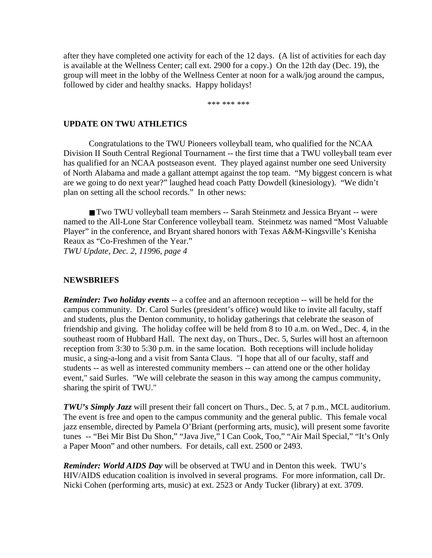after they have completed one activity for each of the 12 days. (A list of activities for each day is available at the Wellness Center; call ext. 2900 for a copy.) On the 12th day (Dec. 19), the group will meet in the lobby of the Wellness Center at noon for a walk/jog around the campus, followed by cider and healthy snacks. Happy holidays!

\*\*\* \*\*\* \*\*\*

#### **UPDATE ON TWU ATHLETICS**

Congratulations to the TWU Pioneers volleyball team, who qualified for the NCAA Division II South Central Regional Tournament -- the first time that a TWU volleyball team ever has qualified for an NCAA postseason event. They played against number one seed University of North Alabama and made a gallant attempt against the top team. "My biggest concern is what are we going to do next year?" laughed head coach Patty Dowdell (kinesiology). "We didn't plan on setting all the school records." In other news:

■ Two TWU volleyball team members -- Sarah Steinmetz and Jessica Bryant -- were named to the All-Lone Star Conference volleyball team. Steinmetz was named "Most Valuable Player" in the conference, and Bryant shared honors with Texas A&M-Kingsville's Kenisha Reaux as "Co-Freshmen of the Year." *TWU Update, Dec. 2, 11996, page 4* 

#### **NEWSBRIEFS**

*Reminder: Two holiday events* -- a coffee and an afternoon reception -- will be held for the campus community. Dr. Carol Surles (president's office) would like to invite all faculty, staff and students, plus the Denton community, to holiday gatherings that celebrate the season of friendship and giving. The holiday coffee will be held from 8 to 10 a.m. on Wed., Dec. 4, in the southeast room of Hubbard Hall. The next day, on Thurs., Dec. 5, Surles will host an afternoon reception from 3:30 to 5:30 p.m. in the same location. Both receptions will include holiday music, a sing-a-long and a visit from Santa Claus. "I hope that all of our faculty, staff and students -- as well as interested community members -- can attend one or the other holiday event," said Surles. "We will celebrate the season in this way among the campus community, sharing the spirit of TWU."

*TWU's Simply Jazz* will present their fall concert on Thurs., Dec. 5, at 7 p.m., MCL auditorium. The event is free and open to the campus community and the general public. This female vocal jazz ensemble, directed by Pamela O'Briant (performing arts, music), will present some favorite tunes -- "Bei Mir Bist Du Shon," "Java Jive," I Can Cook, Too," "Air Mail Special," "It's Only a Paper Moon" and other numbers. For details, call ext. 2500 or 2493.

*Reminder: World AIDS Day* will be observed at TWU and in Denton this week. TWU's HIV/AIDS education coalition is involved in several programs. For more information, call Dr. Nicki Cohen (performing arts, music) at ext. 2523 or Andy Tucker (library) at ext. 3709.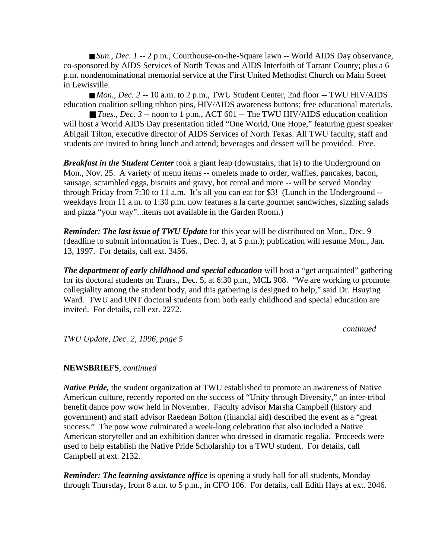■ *Sun., Dec. 1* -- 2 p.m., Courthouse-on-the-Square lawn -- World AIDS Day observance, co-sponsored by AIDS Services of North Texas and AIDS Interfaith of Tarrant County; plus a 6 p.m. nondenominational memorial service at the First United Methodist Church on Main Street in Lewisville.

■ *Mon., Dec.* 2 -- 10 a.m. to 2 p.m., TWU Student Center, 2nd floor -- TWU HIV/AIDS education coalition selling ribbon pins, HIV/AIDS awareness buttons; free educational materials.

■ *Tues., Dec. 3* -- noon to 1 p.m., ACT 601 -- The TWU HIV/AIDS education coalition will host a World AIDS Day presentation titled "One World, One Hope," featuring guest speaker Abigail Tilton, executive director of AIDS Services of North Texas. All TWU faculty, staff and students are invited to bring lunch and attend; beverages and dessert will be provided. Free.

*Breakfast in the Student Center* took a giant leap (downstairs, that is) to the Underground on Mon., Nov. 25. A variety of menu items -- omelets made to order, waffles, pancakes, bacon, sausage, scrambled eggs, biscuits and gravy, hot cereal and more -- will be served Monday through Friday from 7:30 to 11 a.m. It's all you can eat for \$3! (Lunch in the Underground - weekdays from 11 a.m. to 1:30 p.m. now features a la carte gourmet sandwiches, sizzling salads and pizza "your way"...items not available in the Garden Room.)

*Reminder: The last issue of TWU Update* for this year will be distributed on Mon., Dec. 9 (deadline to submit information is Tues., Dec. 3, at 5 p.m.); publication will resume Mon., Jan. 13, 1997. For details, call ext. 3456.

*The department of early childhood and special education* will host a "get acquainted" gathering for its doctoral students on Thurs., Dec. 5, at 6:30 p.m., MCL 908. "We are working to promote collegiality among the student body, and this gathering is designed to help," said Dr. Hsuying Ward. TWU and UNT doctoral students from both early childhood and special education are invited. For details, call ext. 2272.

#### *continued*

*TWU Update, Dec. 2, 1996, page 5*

### **NEWSBRIEFS**, *continued*

*Native Pride*, the student organization at TWU established to promote an awareness of Native American culture, recently reported on the success of "Unity through Diversity," an inter-tribal benefit dance pow wow held in November. Faculty advisor Marsha Campbell (history and government) and staff advisor Raedean Bolton (financial aid) described the event as a "great success." The pow wow culminated a week-long celebration that also included a Native American storyteller and an exhibition dancer who dressed in dramatic regalia. Proceeds were used to help establish the Native Pride Scholarship for a TWU student. For details, call Campbell at ext. 2132.

*Reminder: The learning assistance office* is opening a study hall for all students, Monday through Thursday, from 8 a.m. to 5 p.m., in CFO 106. For details, call Edith Hays at ext. 2046.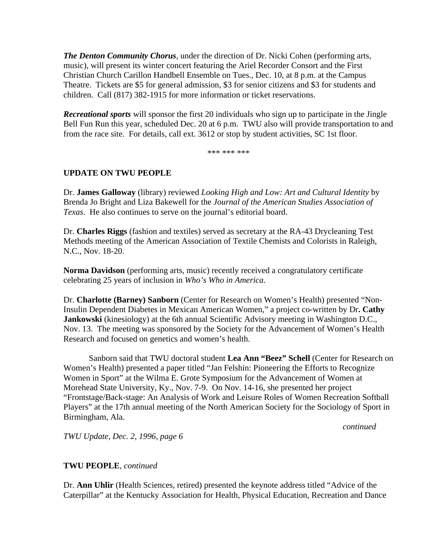*The Denton Community Chorus*, under the direction of Dr. Nicki Cohen (performing arts, music), will present its winter concert featuring the Ariel Recorder Consort and the First Christian Church Carillon Handbell Ensemble on Tues., Dec. 10, at 8 p.m. at the Campus Theatre. Tickets are \$5 for general admission, \$3 for senior citizens and \$3 for students and children. Call (817) 382-1915 for more information or ticket reservations.

*Recreational sports* will sponsor the first 20 individuals who sign up to participate in the Jingle Bell Fun Run this year, scheduled Dec. 20 at 6 p.m. TWU also will provide transportation to and from the race site. For details, call ext. 3612 or stop by student activities, SC 1st floor.

\*\*\* \*\*\* \*\*\*

## **UPDATE ON TWU PEOPLE**

Dr. **James Galloway** (library) reviewed *Looking High and Low: Art and Cultural Identity* by Brenda Jo Bright and Liza Bakewell for the *Journal of the American Studies Association of Texas*. He also continues to serve on the journal's editorial board.

Dr. **Charles Riggs** (fashion and textiles) served as secretary at the RA-43 Drycleaning Test Methods meeting of the American Association of Textile Chemists and Colorists in Raleigh, N.C., Nov. 18-20.

**Norma Davidson** (performing arts, music) recently received a congratulatory certificate celebrating 25 years of inclusion in *Who's Who in America*.

Dr. **Charlotte (Barney) Sanborn** (Center for Research on Women's Health) presented "Non-Insulin Dependent Diabetes in Mexican American Women," a project co-written by Dr**. Cathy Jankowski** (kinesiology) at the 6th annual Scientific Advisory meeting in Washington D.C., Nov. 13. The meeting was sponsored by the Society for the Advancement of Women's Health Research and focused on genetics and women's health.

Sanborn said that TWU doctoral student **Lea Ann "Beez" Schell** (Center for Research on Women's Health) presented a paper titled "Jan Felshin: Pioneering the Efforts to Recognize Women in Sport" at the Wilma E. Grote Symposium for the Advancement of Women at Morehead State University, Ky., Nov. 7-9. On Nov. 14-16, she presented her project "Frontstage/Back-stage: An Analysis of Work and Leisure Roles of Women Recreation Softball Players" at the 17th annual meeting of the North American Society for the Sociology of Sport in Birmingham, Ala.

*continued*

*TWU Update, Dec. 2, 1996, page 6*

### **TWU PEOPLE**, *continued*

Dr. **Ann Uhlir** (Health Sciences, retired) presented the keynote address titled "Advice of the Caterpillar" at the Kentucky Association for Health, Physical Education, Recreation and Dance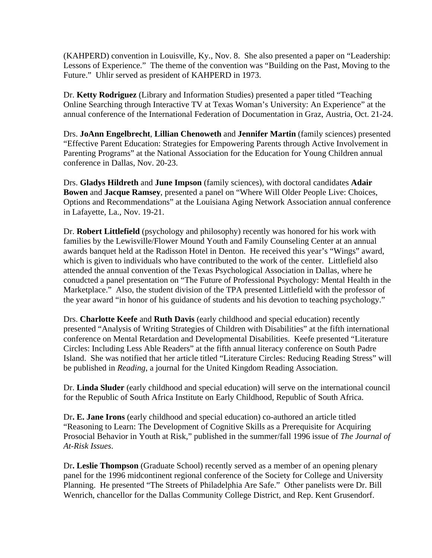(KAHPERD) convention in Louisville, Ky., Nov. 8. She also presented a paper on "Leadership: Lessons of Experience." The theme of the convention was "Building on the Past, Moving to the Future." Uhlir served as president of KAHPERD in 1973.

Dr. **Ketty Rodriguez** (Library and Information Studies) presented a paper titled "Teaching Online Searching through Interactive TV at Texas Woman's University: An Experience" at the annual conference of the International Federation of Documentation in Graz, Austria, Oct. 21-24.

Drs. **JoAnn Engelbrecht**, **Lillian Chenoweth** and **Jennifer Martin** (family sciences) presented "Effective Parent Education: Strategies for Empowering Parents through Active Involvement in Parenting Programs" at the National Association for the Education for Young Children annual conference in Dallas, Nov. 20-23.

Drs. **Gladys Hildreth** and **June Impson** (family sciences), with doctoral candidates **Adair Bowen** and **Jacque Ramsey**, presented a panel on "Where Will Older People Live: Choices, Options and Recommendations" at the Louisiana Aging Network Association annual conference in Lafayette, La., Nov. 19-21.

Dr. **Robert Littlefield** (psychology and philosophy) recently was honored for his work with families by the Lewisville/Flower Mound Youth and Family Counseling Center at an annual awards banquet held at the Radisson Hotel in Denton. He received this year's "Wings" award, which is given to individuals who have contributed to the work of the center. Littlefield also attended the annual convention of the Texas Psychological Association in Dallas, where he conudcted a panel presentation on "The Future of Professional Psychology: Mental Health in the Marketplace." Also, the student division of the TPA presented Littlefield with the professor of the year award "in honor of his guidance of students and his devotion to teaching psychology."

Drs. **Charlotte Keefe** and **Ruth Davis** (early childhood and special education) recently presented "Analysis of Writing Strategies of Children with Disabilities" at the fifth international conference on Mental Retardation and Developmental Disabilities. Keefe presented "Literature Circles: Including Less Able Readers" at the fifth annual literacy conference on South Padre Island.She was notified that her article titled "Literature Circles: Reducing Reading Stress" will be published in *Reading*, a journal for the United Kingdom Reading Association.

Dr. **Linda Sluder** (early childhood and special education) will serve on the international council for the Republic of South Africa Institute on Early Childhood, Republic of South Africa.

Dr**. E. Jane Irons** (early childhood and special education) co-authored an article titled "Reasoning to Learn: The Development of Cognitive Skills as a Prerequisite for Acquiring Prosocial Behavior in Youth at Risk," published in the summer/fall 1996 issue of *The Journal of At-Risk Issues*.

Dr**. Leslie Thompson** (Graduate School) recently served as a member of an opening plenary panel for the 1996 midcontinent regional conference of the Society for College and University Planning. He presented "The Streets of Philadelphia Are Safe." Other panelists were Dr. Bill Wenrich, chancellor for the Dallas Community College District, and Rep. Kent Grusendorf.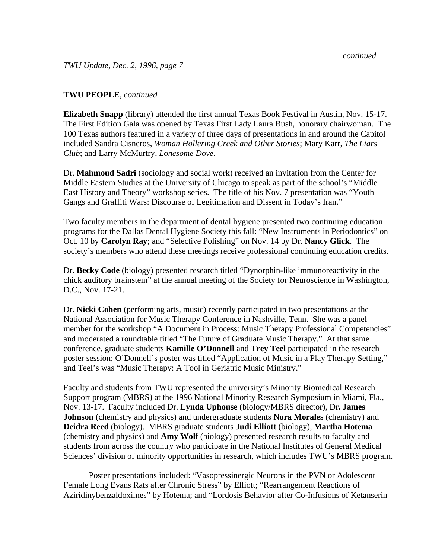*TWU Update, Dec. 2, 1996, page 7*

## **TWU PEOPLE**, *continued*

**Elizabeth Snapp** (library) attended the first annual Texas Book Festival in Austin, Nov. 15-17. The First Edition Gala was opened by Texas First Lady Laura Bush, honorary chairwoman. The 100 Texas authors featured in a variety of three days of presentations in and around the Capitol included Sandra Cisneros, *Woman Hollering Creek and Other Stories*; Mary Karr, *The Liars Club*; and Larry McMurtry, *Lonesome Dove*.

Dr. **Mahmoud Sadri** (sociology and social work) received an invitation from the Center for Middle Eastern Studies at the University of Chicago to speak as part of the school's "Middle East History and Theory" workshop series. The title of his Nov. 7 presentation was "Youth Gangs and Graffiti Wars: Discourse of Legitimation and Dissent in Today's Iran."

Two faculty members in the department of dental hygiene presented two continuing education programs for the Dallas Dental Hygiene Society this fall: "New Instruments in Periodontics" on Oct. 10 by **Carolyn Ray**; and "Selective Polishing" on Nov. 14 by Dr. **Nancy Glick**. The society's members who attend these meetings receive professional continuing education credits.

Dr. **Becky Code** (biology) presented research titled "Dynorphin-like immunoreactivity in the chick auditory brainstem" at the annual meeting of the Society for Neuroscience in Washington, D.C., Nov. 17-21.

Dr. **Nicki Cohen** (performing arts, music) recently participated in two presentations at the National Association for Music Therapy Conference in Nashville, Tenn. She was a panel member for the workshop "A Document in Process: Music Therapy Professional Competencies" and moderated a roundtable titled "The Future of Graduate Music Therapy." At that same conference, graduate students **Kamille O'Donnell** and **Trey Teel** participated in the research poster session; O'Donnell's poster was titled "Application of Music in a Play Therapy Setting," and Teel's was "Music Therapy: A Tool in Geriatric Music Ministry."

Faculty and students from TWU represented the university's Minority Biomedical Research Support program (MBRS) at the 1996 National Minority Research Symposium in Miami, Fla., Nov. 13-17. Faculty included Dr. **Lynda Uphouse** (biology/MBRS director), Dr**. James Johnson** (chemistry and physics) and undergraduate students **Nora Morales** (chemistry) and **Deidra Reed** (biology). MBRS graduate students **Judi Elliott** (biology), **Martha Hotema** (chemistry and physics) and **Amy Wolf** (biology) presented research results to faculty and students from across the country who participate in the National Institutes of General Medical Sciences' division of minority opportunities in research, which includes TWU's MBRS program.

Poster presentations included: "Vasopressinergic Neurons in the PVN or Adolescent Female Long Evans Rats after Chronic Stress" by Elliott; "Rearrangement Reactions of Aziridinybenzaldoximes" by Hotema; and "Lordosis Behavior after Co-Infusions of Ketanserin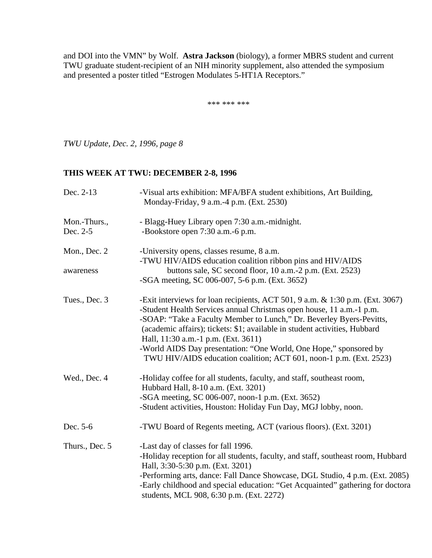and DOI into the VMN" by Wolf. **Astra Jackson** (biology), a former MBRS student and current TWU graduate student-recipient of an NIH minority supplement, also attended the symposium and presented a poster titled "Estrogen Modulates 5-HT1A Receptors."

\*\*\* \*\*\* \*\*\*

*TWU Update, Dec. 2, 1996, page 8*

# **THIS WEEK AT TWU: DECEMBER 2-8, 1996**

| Dec. 2-13                | -Visual arts exhibition: MFA/BFA student exhibitions, Art Building,<br>Monday-Friday, 9 a.m.-4 p.m. (Ext. 2530)                                                                                                                                                                                                                                                                                                                                                                               |
|--------------------------|-----------------------------------------------------------------------------------------------------------------------------------------------------------------------------------------------------------------------------------------------------------------------------------------------------------------------------------------------------------------------------------------------------------------------------------------------------------------------------------------------|
| Mon.-Thurs.,<br>Dec. 2-5 | - Blagg-Huey Library open 7:30 a.m.-midnight.<br>-Bookstore open 7:30 a.m.-6 p.m.                                                                                                                                                                                                                                                                                                                                                                                                             |
| Mon., Dec. 2             | -University opens, classes resume, 8 a.m.<br>-TWU HIV/AIDS education coalition ribbon pins and HIV/AIDS                                                                                                                                                                                                                                                                                                                                                                                       |
| awareness                | buttons sale, SC second floor, 10 a.m.-2 p.m. (Ext. 2523)<br>-SGA meeting, SC 006-007, 5-6 p.m. (Ext. 3652)                                                                                                                                                                                                                                                                                                                                                                                   |
| Tues., Dec. 3            | -Exit interviews for loan recipients, ACT 501, 9 a.m. & 1:30 p.m. (Ext. 3067)<br>-Student Health Services annual Christmas open house, 11 a.m.-1 p.m.<br>-SOAP: "Take a Faculty Member to Lunch," Dr. Beverley Byers-Pevitts,<br>(academic affairs); tickets: \$1; available in student activities, Hubbard<br>Hall, 11:30 a.m.-1 p.m. (Ext. 3611)<br>-World AIDS Day presentation: "One World, One Hope," sponsored by<br>TWU HIV/AIDS education coalition; ACT 601, noon-1 p.m. (Ext. 2523) |
| Wed., Dec. 4             | -Holiday coffee for all students, faculty, and staff, southeast room,<br>Hubbard Hall, 8-10 a.m. (Ext. 3201)<br>-SGA meeting, SC 006-007, noon-1 p.m. (Ext. 3652)<br>-Student activities, Houston: Holiday Fun Day, MGJ lobby, noon.                                                                                                                                                                                                                                                          |
| Dec. 5-6                 | -TWU Board of Regents meeting, ACT (various floors). (Ext. 3201)                                                                                                                                                                                                                                                                                                                                                                                                                              |
| Thurs., Dec. 5           | -Last day of classes for fall 1996.<br>-Holiday reception for all students, faculty, and staff, southeast room, Hubbard<br>Hall, 3:30-5:30 p.m. (Ext. 3201)<br>-Performing arts, dance: Fall Dance Showcase, DGL Studio, 4 p.m. (Ext. 2085)<br>-Early childhood and special education: "Get Acquainted" gathering for doctora<br>students, MCL 908, 6:30 p.m. (Ext. 2272)                                                                                                                     |